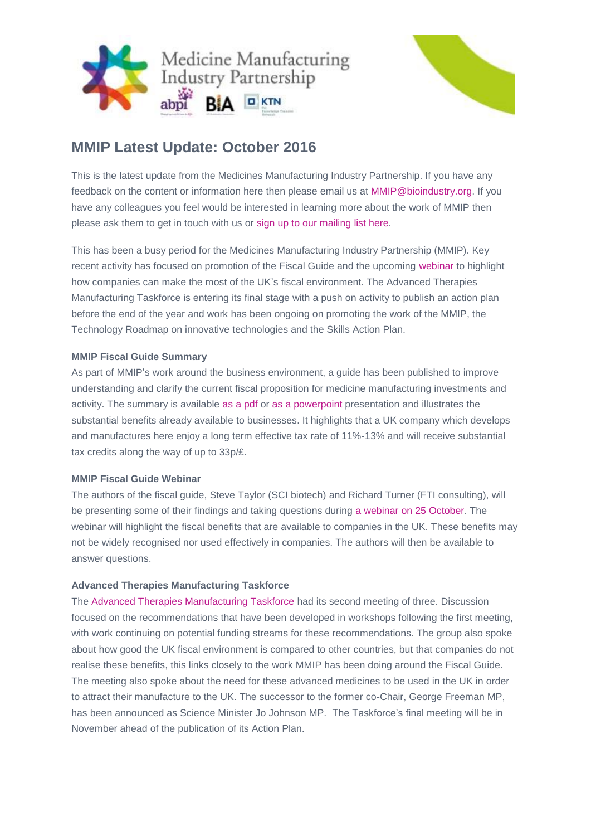



# **MMIP Latest Update: October 2016**

This is the latest update from the Medicines Manufacturing Industry Partnership. If you have any feedback on the content or information here then please email us at [MMIP@bioindustry.org.](mailto:MMIP@bioindustry.org) If you have any colleagues you feel would be interested in learning more about the work of MMIP then please ask them to get in touch with us or [sign up to our mailing list](mailto:MMIP@bioindustry.org?subject=Subscribe%20to%20mailing%20list) here.

This has been a busy period for the Medicines Manufacturing Industry Partnership (MMIP). Key recent activity has focused on promotion of the Fiscal Guide and the upcoming [webinar](http://dmtrk.net/2BTO-WYBM-479QQC-G8O11-1/c.aspx) to highlight how companies can make the most of the UK's fiscal environment. The Advanced Therapies Manufacturing Taskforce is entering its final stage with a push on activity to publish an action plan before the end of the year and work has been ongoing on promoting the work of the MMIP, the Technology Roadmap on innovative technologies and the Skills Action Plan.

## **MMIP Fiscal Guide Summary**

As part of MMIP's work around the business environment, a guide has been published to improve understanding and clarify the current fiscal proposition for medicine manufacturing investments and activity. The summary is available [as a pdf](http://dmtrk.net/2BTO-WYBM-479QQC-G8O0Z-1/c.aspx) or [as a powerpoint](http://dmtrk.net/2BTO-WYBM-479QQC-G8O10-1/c.aspx) presentation and illustrates the substantial benefits already available to businesses. It highlights that a UK company which develops and manufactures here enjoy a long term effective tax rate of 11%-13% and will receive substantial tax credits along the way of up to 33p/£.

## **MMIP Fiscal Guide Webinar**

The authors of the fiscal guide, Steve Taylor (SCI biotech) and Richard Turner (FTI consulting), will be presenting some of their findings and taking questions during [a webinar on 25 October.](http://dmtrk.net/2BTO-WYBM-479QQC-G8O11-1/c.aspx) The webinar will highlight the fiscal benefits that are available to companies in the UK. These benefits may not be widely recognised nor used effectively in companies. The authors will then be available to answer questions.

## **Advanced Therapies Manufacturing Taskforce**

The [Advanced Therapies Manufacturing Taskforce](http://dmtrk.net/2BTO-WYBM-479QQC-G8O12-1/c.aspx) had its second meeting of three. Discussion focused on the recommendations that have been developed in workshops following the first meeting, with work continuing on potential funding streams for these recommendations. The group also spoke about how good the UK fiscal environment is compared to other countries, but that companies do not realise these benefits, this links closely to the work MMIP has been doing around the Fiscal Guide. The meeting also spoke about the need for these advanced medicines to be used in the UK in order to attract their manufacture to the UK. The successor to the former co-Chair, George Freeman MP, has been announced as Science Minister Jo Johnson MP. The Taskforce's final meeting will be in November ahead of the publication of its Action Plan.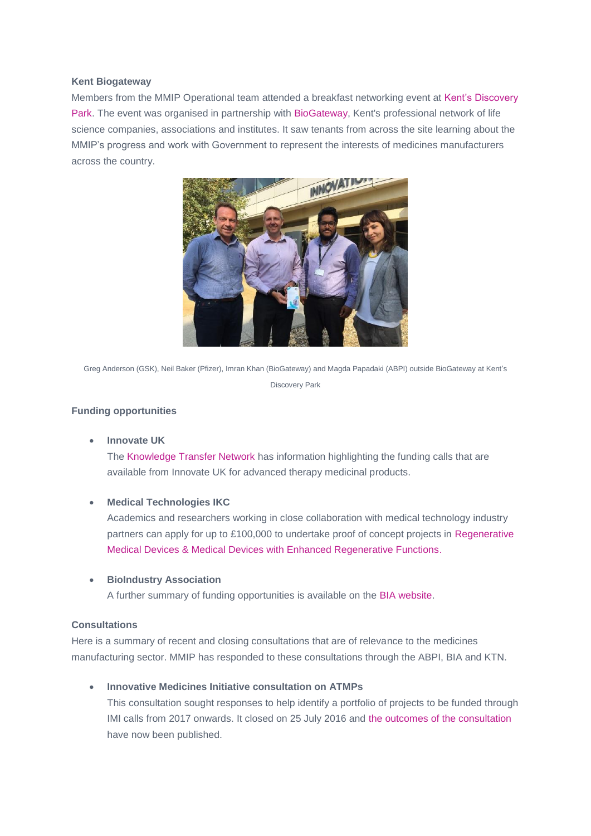#### **Kent Biogateway**

Members from the MMIP Operational team attended a breakfast networking event at [Kent's Discovery](http://dmtrk.net/2BTO-WYBM-479QQC-G8O13-1/c.aspx)  [Park.](http://dmtrk.net/2BTO-WYBM-479QQC-G8O13-1/c.aspx) The event was organised in partnership with [BioGateway,](http://dmtrk.net/2BTO-WYBM-479QQC-G8O14-1/c.aspx) Kent's professional network of life science companies, associations and institutes. It saw tenants from across the site learning about the MMIP's progress and work with Government to represent the interests of medicines manufacturers across the country.



Greg Anderson (GSK), Neil Baker (Pfizer), Imran Khan (BioGateway) and Magda Papadaki (ABPI) outside BioGateway at Kent's Discovery Park

## **Funding opportunities**

**Innovate UK**

The [Knowledge Transfer Network](http://dmtrk.net/2BTO-WYBM-479QQC-G8O15-1/c.aspx) has information highlighting the funding calls that are available from Innovate UK for advanced therapy medicinal products.

## **Medical Technologies IKC**

Academics and researchers working in close collaboration with medical technology industry partners can apply for up to £100,000 to undertake proof of concept projects in [Regenerative](http://dmtrk.net/2BTO-WYBM-479QQC-G8O16-1/c.aspx)  [Medical Devices & Medical Devices with Enhanced Regenerative Functions.](http://dmtrk.net/2BTO-WYBM-479QQC-G8O16-1/c.aspx)

#### **BioIndustry Association**

A further summary of funding opportunities is available on the [BIA website.](http://dmtrk.net/2BTO-WYBM-479QQC-GANWE-1/c.aspx)

## **Consultations**

Here is a summary of recent and closing consultations that are of relevance to the medicines manufacturing sector. MMIP has responded to these consultations through the ABPI, BIA and KTN.

**Innovative Medicines Initiative consultation on ATMPs**

This consultation sought responses to help identify a portfolio of projects to be funded through IMI calls from 2017 onwards. It closed on 25 July 2016 and [the outcomes of the consultation](http://dmtrk.net/2BTO-WYBM-479QQC-G8O17-1/c.aspx) have now been published.